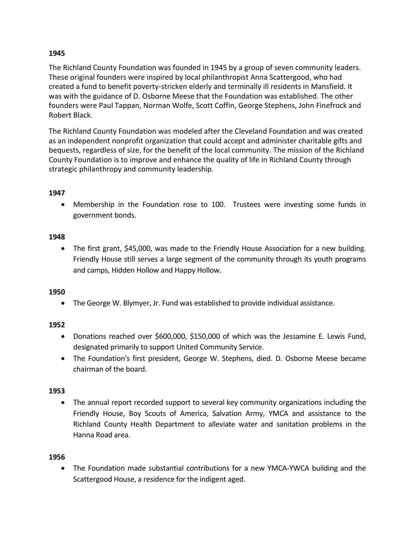The Richland County Foundation was founded in 1945 by a group of seven community leaders. These original founders were inspired by local philanthropist Anna Scattergood, who had created a fund to benefit poverty-stricken elderly and terminally ill residents in Mansfield. It was with the guidance of D. Osborne Meese that the Foundation was established. The other founders were Paul Tappan, Norman Wolfe, Scott Coffin, George Stephens, John Finefrock and Robert Black.

The Richland County Foundation was modeled after the Cleveland Foundation and was created as an independent nonprofit organization that could accept and administer charitable gifts and bequests, regardless of size, for the benefit of the local community. The mission of the Richland County Foundation is to improve and enhance the quality of life in Richland County through strategic philanthropy and community leadership.

### **1947**

• Membership in the Foundation rose to 100. Trustees were investing some funds in government bonds.

### **1948**

• The first grant, \$45,000, was made to the Friendly House Association for a new building. Friendly House still serves a large segment of the community through its youth programs and camps, Hidden Hollow and Happy Hollow.

# **1950**

• The George W. Blymyer, Jr. Fund was established to provide individual assistance.

# **1952**

- Donations reached over \$600,000, \$150,000 of which was the Jessamine E. Lewis Fund, designated primarily to support United Community Service.
- The Foundation's first president, George W. Stephens, died. D. Osborne Meese became chairman of the board.

# **1953**

• The annual report recorded support to several key community organizations including the Friendly House, Boy Scouts of America, Salvation Army, YMCA and assistance to the Richland County Health Department to alleviate water and sanitation problems in the Hanna Road area.

### **1956**

• The Foundation made substantial contributions for a new YMCA-YWCA building and the Scattergood House, a residence for the indigent aged.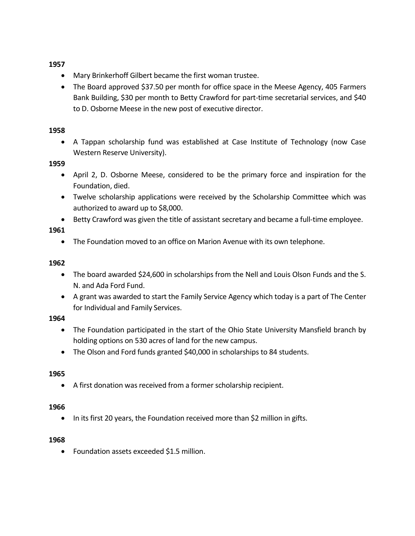- Mary Brinkerhoff Gilbert became the first woman trustee.
- The Board approved \$37.50 per month for office space in the Meese Agency, 405 Farmers Bank Building, \$30 per month to Betty Crawford for part-time secretarial services, and \$40 to D. Osborne Meese in the new post of executive director.

### **1958**

• A Tappan scholarship fund was established at Case Institute of Technology (now Case Western Reserve University).

### **1959**

- April 2, D. Osborne Meese, considered to be the primary force and inspiration for the Foundation, died.
- Twelve scholarship applications were received by the Scholarship Committee which was authorized to award up to \$8,000.
- Betty Crawford was given the title of assistant secretary and became a full-time employee.

# **1961**

• The Foundation moved to an office on Marion Avenue with its own telephone.

### **1962**

- The board awarded \$24,600 in scholarships from the Nell and Louis Olson Funds and the S. N. and Ada Ford Fund.
- A grant was awarded to start the Family Service Agency which today is a part of The Center for Individual and Family Services.

# **1964**

- The Foundation participated in the start of the Ohio State University Mansfield branch by holding options on 530 acres of land for the new campus.
- The Olson and Ford funds granted \$40,000 in scholarships to 84 students.

# **1965**

• A first donation was received from a former scholarship recipient.

### **1966**

• In its first 20 years, the Foundation received more than \$2 million in gifts.

### **1968**

• Foundation assets exceeded \$1.5 million.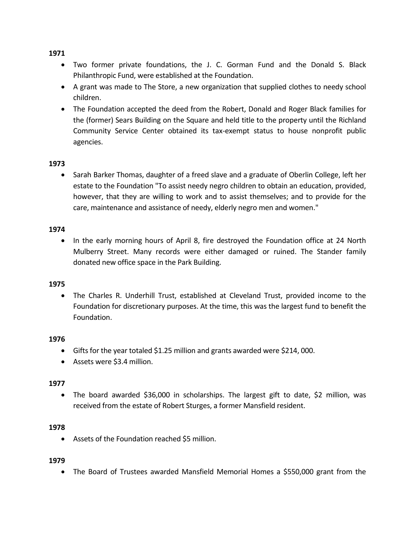- Two former private foundations, the J. C. Gorman Fund and the Donald S. Black Philanthropic Fund, were established at the Foundation.
- A grant was made to The Store, a new organization that supplied clothes to needy school children.
- The Foundation accepted the deed from the Robert, Donald and Roger Black families for the (former) Sears Building on the Square and held title to the property until the Richland Community Service Center obtained its tax-exempt status to house nonprofit public agencies.

### **1973**

• Sarah Barker Thomas, daughter of a freed slave and a graduate of Oberlin College, left her estate to the Foundation "To assist needy negro children to obtain an education, provided, however, that they are willing to work and to assist themselves; and to provide for the care, maintenance and assistance of needy, elderly negro men and women."

#### **1974**

• In the early morning hours of April 8, fire destroyed the Foundation office at 24 North Mulberry Street. Many records were either damaged or ruined. The Stander family donated new office space in the Park Building.

### **1975**

• The Charles R. Underhill Trust, established at Cleveland Trust, provided income to the Foundation for discretionary purposes. At the time, this was the largest fund to benefit the Foundation.

### **1976**

- Gifts for the year totaled \$1.25 million and grants awarded were \$214, 000.
- Assets were \$3.4 million.

#### **1977**

• The board awarded \$36,000 in scholarships. The largest gift to date, \$2 million, was received from the estate of Robert Sturges, a former Mansfield resident.

#### **1978**

• Assets of the Foundation reached \$5 million.

#### **1979**

• The Board of Trustees awarded Mansfield Memorial Homes a \$550,000 grant from the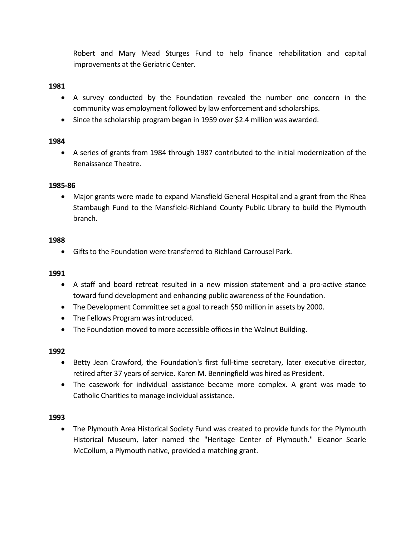Robert and Mary Mead Sturges Fund to help finance rehabilitation and capital improvements at the Geriatric Center.

### **1981**

- A survey conducted by the Foundation revealed the number one concern in the community was employment followed by law enforcement and scholarships.
- Since the scholarship program began in 1959 over \$2.4 million was awarded.

### **1984**

• A series of grants from 1984 through 1987 contributed to the initial modernization of the Renaissance Theatre.

### **1985-86**

• Major grants were made to expand Mansfield General Hospital and a grant from the Rhea Stambaugh Fund to the Mansfield-Richland County Public Library to build the Plymouth branch.

### **1988**

• Gifts to the Foundation were transferred to Richland Carrousel Park.

# **1991**

- A staff and board retreat resulted in a new mission statement and a pro-active stance toward fund development and enhancing public awareness of the Foundation.
- The Development Committee set a goal to reach \$50 million in assets by 2000.
- The Fellows Program was introduced.
- The Foundation moved to more accessible offices in the Walnut Building.

### **1992**

- Betty Jean Crawford, the Foundation's first full-time secretary, later executive director, retired after 37 years of service. Karen M. Benningfield was hired as President.
- The casework for individual assistance became more complex. A grant was made to Catholic Charities to manage individual assistance.

### **1993**

• The Plymouth Area Historical Society Fund was created to provide funds for the Plymouth Historical Museum, later named the "Heritage Center of Plymouth." Eleanor Searle McCollum, a Plymouth native, provided a matching grant.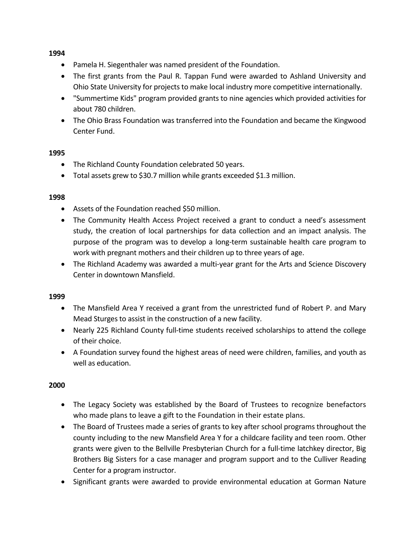- Pamela H. Siegenthaler was named president of the Foundation.
- The first grants from the Paul R. Tappan Fund were awarded to Ashland University and Ohio State University for projects to make local industry more competitive internationally.
- "Summertime Kids" program provided grants to nine agencies which provided activities for about 780 children.
- The Ohio Brass Foundation was transferred into the Foundation and became the Kingwood Center Fund.

### **1995**

- The Richland County Foundation celebrated 50 years.
- Total assets grew to \$30.7 million while grants exceeded \$1.3 million.

### **1998**

- Assets of the Foundation reached \$50 million.
- The Community Health Access Project received a grant to conduct a need's assessment study, the creation of local partnerships for data collection and an impact analysis. The purpose of the program was to develop a long-term sustainable health care program to work with pregnant mothers and their children up to three years of age.
- The Richland Academy was awarded a multi-year grant for the Arts and Science Discovery Center in downtown Mansfield.

### **1999**

- The Mansfield Area Y received a grant from the unrestricted fund of Robert P. and Mary Mead Sturges to assist in the construction of a new facility.
- Nearly 225 Richland County full-time students received scholarships to attend the college of their choice.
- A Foundation survey found the highest areas of need were children, families, and youth as well as education.

- The Legacy Society was established by the Board of Trustees to recognize benefactors who made plans to leave a gift to the Foundation in their estate plans.
- The Board of Trustees made a series of grants to key after school programs throughout the county including to the new Mansfield Area Y for a childcare facility and teen room. Other grants were given to the Bellville Presbyterian Church for a full-time latchkey director, Big Brothers Big Sisters for a case manager and program support and to the Culliver Reading Center for a program instructor.
- Significant grants were awarded to provide environmental education at Gorman Nature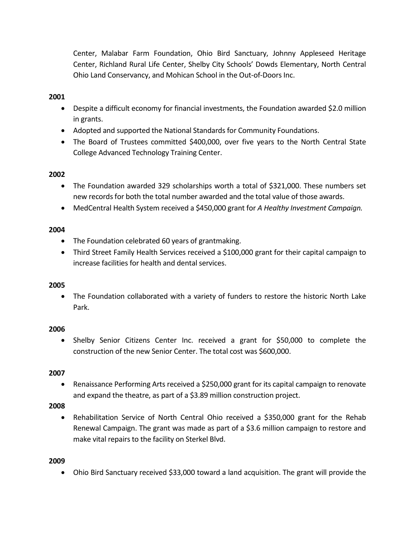Center, Malabar Farm Foundation, Ohio Bird Sanctuary, Johnny Appleseed Heritage Center, Richland Rural Life Center, Shelby City Schools' Dowds Elementary, North Central Ohio Land Conservancy, and Mohican School in the Out-of-Doors Inc.

# **2001**

- Despite a difficult economy for financial investments, the Foundation awarded \$2.0 million in grants.
- Adopted and supported the National Standards for Community Foundations.
- The Board of Trustees committed \$400,000, over five years to the North Central State College Advanced Technology Training Center.

# **2002**

- The Foundation awarded 329 scholarships worth a total of \$321,000. These numbers set new records for both the total number awarded and the total value of those awards.
- MedCentral Health System received a \$450,000 grant for *A Healthy Investment Campaign.*

# **2004**

- The Foundation celebrated 60 years of grantmaking.
- Third Street Family Health Services received a \$100,000 grant for their capital campaign to increase facilities for health and dental services.

# **2005**

• The Foundation collaborated with a variety of funders to restore the historic North Lake Park.

# **2006**

• Shelby Senior Citizens Center Inc. received a grant for \$50,000 to complete the construction of the new Senior Center. The total cost was \$600,000.

# **2007**

• Renaissance Performing Arts received a \$250,000 grant for its capital campaign to renovate and expand the theatre, as part of a \$3.89 million construction project.

# **2008**

• Rehabilitation Service of North Central Ohio received a \$350,000 grant for the Rehab Renewal Campaign. The grant was made as part of a \$3.6 million campaign to restore and make vital repairs to the facility on Sterkel Blvd.

# **2009**

• Ohio Bird Sanctuary received \$33,000 toward a land acquisition. The grant will provide the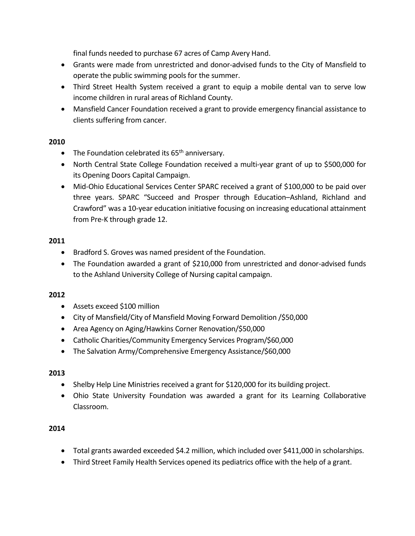final funds needed to purchase 67 acres of Camp Avery Hand.

- Grants were made from unrestricted and donor-advised funds to the City of Mansfield to operate the public swimming pools for the summer.
- Third Street Health System received a grant to equip a mobile dental van to serve low income children in rural areas of Richland County.
- Mansfield Cancer Foundation received a grant to provide emergency financial assistance to clients suffering from cancer.

# **2010**

- The Foundation celebrated its  $65<sup>th</sup>$  anniversary.
- North Central State College Foundation received a multi-year grant of up to \$500,000 for its Opening Doors Capital Campaign.
- Mid-Ohio Educational Services Center SPARC received a grant of \$100,000 to be paid over three years. SPARC "Succeed and Prosper through Education–Ashland, Richland and Crawford" was a 10-year education initiative focusing on increasing educational attainment from Pre-K through grade 12.

# **2011**

- Bradford S. Groves was named president of the Foundation.
- The Foundation awarded a grant of \$210,000 from unrestricted and donor-advised funds to the Ashland University College of Nursing capital campaign.

# **2012**

- Assets exceed \$100 million
- City of Mansfield/City of Mansfield Moving Forward Demolition /\$50,000
- Area Agency on Aging/Hawkins Corner Renovation/\$50,000
- Catholic Charities/Community Emergency Services Program/\$60,000
- The Salvation Army/Comprehensive Emergency Assistance/\$60,000

# **2013**

- Shelby Help Line Ministries received a grant for \$120,000 for its building project.
- Ohio State University Foundation was awarded a grant for its Learning Collaborative Classroom.

- Total grants awarded exceeded \$4.2 million, which included over \$411,000 in scholarships.
- Third Street Family Health Services opened its pediatrics office with the help of a grant.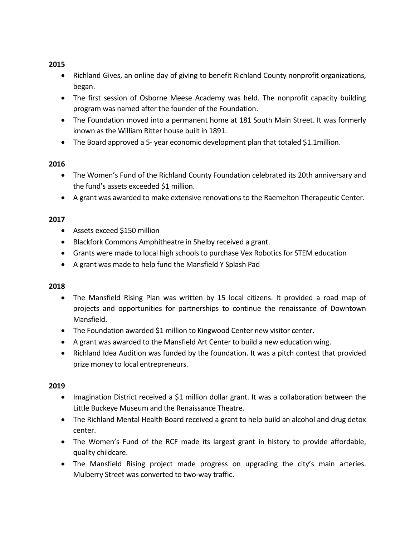- Richland Gives, an online day of giving to benefit Richland County nonprofit organizations, began.
- The first session of Osborne Meese Academy was held. The nonprofit capacity building program was named after the founder of the Foundation.
- The Foundation moved into a permanent home at 181 South Main Street. It was formerly known as the William Ritter house built in 1891.
- The Board approved a 5- year economic development plan that totaled \$1.1million.

# **2016**

- The Women's Fund of the Richland County Foundation celebrated its 20th anniversary and the fund's assets exceeded \$1 million.
- A grant was awarded to make extensive renovations to the Raemelton Therapeutic Center.

# **2017**

- Assets exceed \$150 million
- Blackfork Commons Amphitheatre in Shelby received a grant.
- Grants were made to local high schools to purchase Vex Robotics for STEM education
- A grant was made to help fund the Mansfield Y Splash Pad

# **2018**

- The Mansfield Rising Plan was written by 15 local citizens. It provided a road map of projects and opportunities for partnerships to continue the renaissance of Downtown Mansfield.
- The Foundation awarded \$1 million to Kingwood Center new visitor center.
- A grant was awarded to the Mansfield Art Center to build a new education wing.
- Richland Idea Audition was funded by the foundation. It was a pitch contest that provided prize money to local entrepreneurs.

- Imagination District received a \$1 million dollar grant. It was a collaboration between the Little Buckeye Museum and the Renaissance Theatre.
- The Richland Mental Health Board received a grant to help build an alcohol and drug detox center.
- The Women's Fund of the RCF made its largest grant in history to provide affordable, quality childcare.
- The Mansfield Rising project made progress on upgrading the city's main arteries. Mulberry Street was converted to two-way traffic.